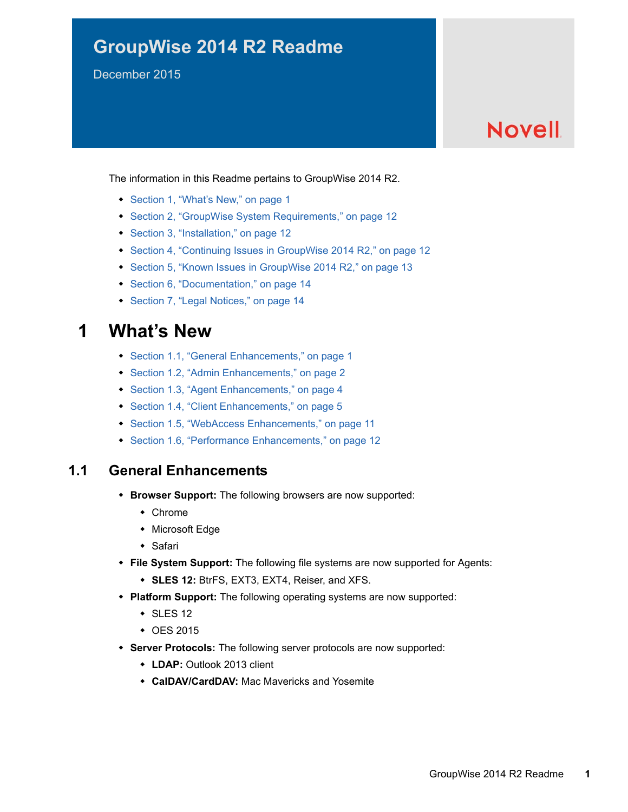# **GroupWise 2014 R2 Readme**

December 2015

# **Novell**

The information in this Readme pertains to GroupWise 2014 R2.

- [Section 1, "What's New," on page 1](#page-0-0)
- [Section 2, "GroupWise System Requirements," on page 12](#page-11-0)
- [Section 3, "Installation," on page 12](#page-11-1)
- [Section 4, "Continuing Issues in GroupWise 2014 R2," on page 12](#page-11-2)
- [Section 5, "Known Issues in GroupWise 2014 R2," on page 13](#page-12-0)
- [Section 6, "Documentation," on page 14](#page-13-0)
- [Section 7, "Legal Notices," on page 14](#page-13-1)

## <span id="page-0-0"></span>**1 What's New**

- [Section 1.1, "General Enhancements," on page 1](#page-0-1)
- [Section 1.2, "Admin Enhancements," on page 2](#page-1-0)
- [Section 1.3, "Agent Enhancements," on page 4](#page-3-0)
- [Section 1.4, "Client Enhancements," on page 5](#page-4-0)
- [Section 1.5, "WebAccess Enhancements," on page 11](#page-10-0)
- [Section 1.6, "Performance Enhancements," on page 12](#page-11-3)

### <span id="page-0-1"></span>**1.1 General Enhancements**

- **Browser Support:** The following browsers are now supported:
	- Chrome
	- Microsoft Edge
	- Safari
- **File System Support:** The following file systems are now supported for Agents:
	- **SLES 12:** BtrFS, EXT3, EXT4, Reiser, and XFS.
- **Platform Support:** The following operating systems are now supported:
	- $\cdot$  SLES 12
	- ◆ OES 2015
- **Server Protocols:** The following server protocols are now supported:
	- **LDAP:** Outlook 2013 client
	- **CalDAV/CardDAV:** Mac Mavericks and Yosemite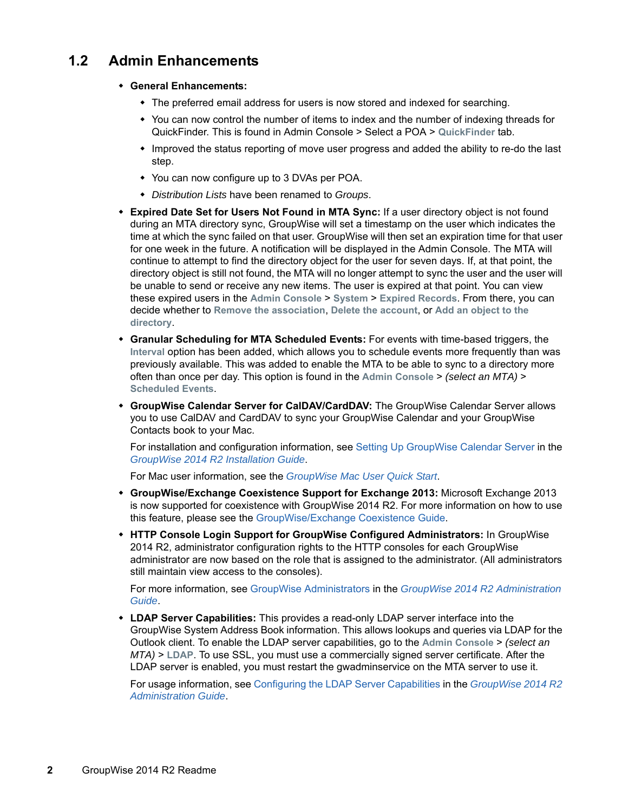### <span id="page-1-0"></span>**1.2 Admin Enhancements**

- **General Enhancements:** 
	- The preferred email address for users is now stored and indexed for searching.
	- You can now control the number of items to index and the number of indexing threads for QuickFinder. This is found in Admin Console > Select a POA > **QuickFinder** tab.
	- Improved the status reporting of move user progress and added the ability to re-do the last step.
	- You can now configure up to 3 DVAs per POA.
	- *Distribution Lists* have been renamed to *Groups*.
- **Expired Date Set for Users Not Found in MTA Sync:** If a user directory object is not found during an MTA directory sync, GroupWise will set a timestamp on the user which indicates the time at which the sync failed on that user. GroupWise will then set an expiration time for that user for one week in the future. A notification will be displayed in the Admin Console. The MTA will continue to attempt to find the directory object for the user for seven days. If, at that point, the directory object is still not found, the MTA will no longer attempt to sync the user and the user will be unable to send or receive any new items. The user is expired at that point. You can view these expired users in the **Admin Console** > **System** > **Expired Records**. From there, you can decide whether to **Remove the association**, **Delete the account**, or **Add an object to the directory**.
- **Granular Scheduling for MTA Scheduled Events:** For events with time-based triggers, the **Interval** option has been added, which allows you to schedule events more frequently than was previously available. This was added to enable the MTA to be able to sync to a directory more often than once per day. This option is found in the **Admin Console** > *(select an MTA)* > **Scheduled Events**.
- **GroupWise Calendar Server for CalDAV/CardDAV:** The GroupWise Calendar Server allows you to use CalDAV and CardDAV to sync your GroupWise Calendar and your GroupWise Contacts book to your Mac.

For installation and configuration information, see [Setting Up GroupWise Calendar Server](https://www.novell.com/documentation/groupwise2014r2/pdfdoc/gw2014_guide_install/gw2014_guide_install.pdf#b1g6hefz) in the *[GroupWise 2014 R2 Installation Guide](https://www.novell.com/documentation/groupwise2014r2/pdfdoc/gw2014_guide_install/gw2014_guide_install.pdf#instfront)*.

For Mac user information, see the *[GroupWise Mac User Quick Start](https://www.novell.com/documentation/groupwise2014r2/gw2014_qs_mac/data/gw2014_qs_mac.html)*.

- **GroupWise/Exchange Coexistence Support for Exchange 2013:** Microsoft Exchange 2013 is now supported for coexistence with GroupWise 2014 R2. For more information on how to use this feature, please see the [GroupWise/Exchange Coexistence Guide](https://www.novell.com/documentation/groupwise2014r2/pdfdoc/gw2014_guide_exchcoexist/gw2014_guide_exchcoexist.pdf#coexfront).
- **HTTP Console Login Support for GroupWise Configured Administrators:** In GroupWise 2014 R2, administrator configuration rights to the HTTP consoles for each GroupWise administrator are now based on the role that is assigned to the administrator. (All administrators still maintain view access to the consoles).

For more information, see [GroupWise Administrators](https://www.novell.com/documentation/groupwise2014r2/pdfdoc/gw2014_guide_admin/gw2014_guide_admin.pdf#admsysadministrators) in the *[GroupWise 2014 R2 Administration](https://www.novell.com/documentation/groupwise2014r2/pdfdoc/gw2014_guide_admin/gw2014_guide_admin.pdf#adminfront)  Guide*.

 **LDAP Server Capabilities:** This provides a read-only LDAP server interface into the GroupWise System Address Book information. This allows lookups and queries via LDAP for the Outlook client. To enable the LDAP server capabilities, go to the **Admin Console** > *(select an MTA)* > **LDAP**. To use SSL, you must use a commercially signed server certificate. After the LDAP server is enabled, you must restart the gwadminservice on the MTA server to use it.

For usage information, see [Configuring the LDAP Server Capabilities](https://www.novell.com/documentation/groupwise2014r2/pdfdoc/gw2014_guide_admin/gw2014_guide_admin.pdf#b1fdnw8g) in the *[GroupWise 2014 R2](https://www.novell.com/documentation/groupwise2014r2/pdfdoc/gw2014_guide_admin/gw2014_guide_admin.pdf#adminfront)  Administration Guide*.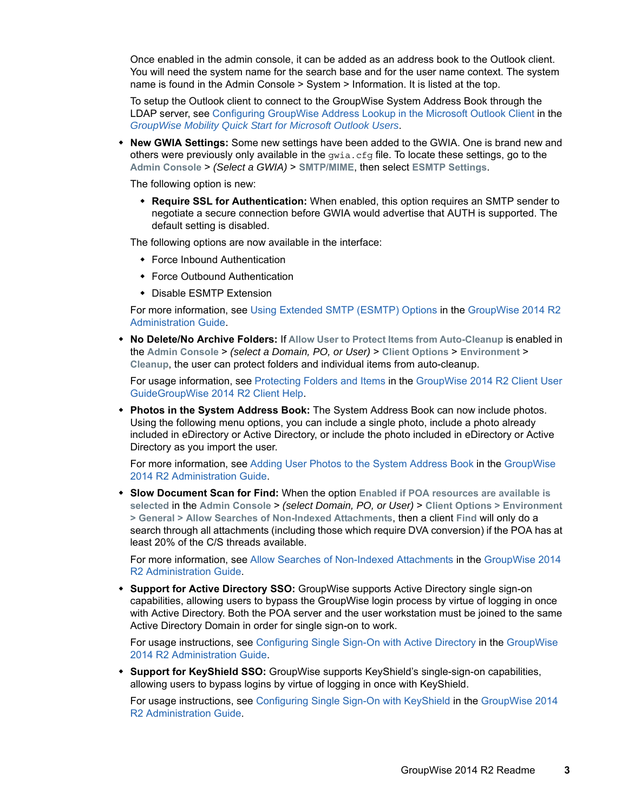Once enabled in the admin console, it can be added as an address book to the Outlook client. You will need the system name for the search base and for the user name context. The system name is found in the Admin Console > System > Information. It is listed at the top.

To setup the Outlook client to connect to the GroupWise System Address Book through the LDAP server, see [Configuring GroupWise Address Lookup in the Microsoft Outlook Client](https://www.novell.com/documentation/groupwisemobility2014r2/pdfdoc/gwmob2014r2_qs_outlook_user/gwmob2014r2_qs_outlook_user.pdf#b1e0varp) in the *[GroupWise Mobility Quick Start for Microsoft Outlook Users](https://www.novell.com/documentation/groupwisemobility2014r2/pdfdoc/gwmob2014r2_qs_outlook_user/gwmob2014r2_qs_outlook_user.pdf#gwmob2qsoutlookuser)*.

 **New GWIA Settings:** Some new settings have been added to the GWIA. One is brand new and others were previously only available in the  $qwia.cfq$  file. To locate these settings, go to the **Admin Console** > *(Select a GWIA)* > **SMTP/MIME**, then select **ESMTP Settings**.

The following option is new:

 **Require SSL for Authentication:** When enabled, this option requires an SMTP sender to negotiate a secure connection before GWIA would advertise that AUTH is supported. The default setting is disabled.

The following options are now available in the interface:

- Force Inbound Authentication
- Force Outbound Authentication
- Disable ESMTP Extension

For more information, see [Using Extended SMTP \(ESMTP\) Options](https://www.novell.com/documentation/groupwise2014r2/pdfdoc/gw2014_guide_admin/gw2014_guide_admin.pdf#admgwiainetsmtpesmtp) in the [GroupWise 2014 R2](https://www.novell.com/documentation/groupwise2014r2/pdfdoc/gw2014_guide_admin/gw2014_guide_admin.pdf#adminfront)  Administration Guide.

 **No Delete/No Archive Folders:** If **Allow User to Protect Items from Auto-Cleanup** is enabled in the **Admin Console** > *(select a Domain, PO, or User)* > **Client Options** > **Environment** > **Cleanup**, the user can protect folders and individual items from auto-cleanup.

For usage information, see [Protecting Folders and Items](https://www.novell.com/documentation/groupwise2014r2/pdfdoc/gw2014_guide_userwin/gw2014_guide_userwin.pdf#b1etqka7) in the [GroupWise 2014 R2 Client User](https://www.novell.com/documentation/groupwise2014r2/pdfdoc/gw2014_guide_userwin/gw2014_guide_userwin.pdf#frontpage)  GuideGroupWise 2014 R2 Client Help.

 **Photos in the System Address Book:** The System Address Book can now include photos. Using the following menu options, you can include a single photo, include a photo already included in eDirectory or Active Directory, or include the photo included in eDirectory or Active Directory as you import the user.

For more information, see [Adding User Photos to the System Address Book](https://www.novell.com/documentation/groupwise2014r2/pdfdoc/gw2014_guide_admin/gw2014_guide_admin.pdf#b1f1d0jn) in the [GroupWise](https://www.novell.com/documentation/groupwise2014r2/pdfdoc/gw2014_guide_admin/gw2014_guide_admin.pdf#adminfront)  2014 R2 Administration Guide.

 **Slow Document Scan for Find:** When the option **Enabled if POA resources are available is selected** in the **Admin Console** > *(select Domain, PO, or User)* > **Client Options > Environment > General > Allow Searches of Non-Indexed Attachments**, then a client **Find** will only do a search through all attachments (including those which require DVA conversion) if the POA has at least 20% of the C/S threads available.

For more information, see [Allow Searches of Non-Indexed Attachments](https://www.novell.com/documentation/groupwise2014r2/pdfdoc/gw2014_guide_admin/gw2014_guide_admin.pdf#b1f1f5j7) in the [GroupWise 2014](https://www.novell.com/documentation/groupwise2014r2/pdfdoc/gw2014_guide_admin/gw2014_guide_admin.pdf#adminfront)  R2 Administration Guide.

 **Support for Active Directory SSO:** GroupWise supports Active Directory single sign-on capabilities, allowing users to bypass the GroupWise login process by virtue of logging in once with Active Directory. Both the POA server and the user workstation must be joined to the same Active Directory Domain in order for single sign-on to work.

For usage instructions, see [Configuring Single Sign-On with Active Directory](https://www.novell.com/documentation/groupwise2014r2/pdfdoc/gw2014_guide_admin/gw2014_guide_admin.pdf#b1f0s9uy) in the [GroupWise](https://www.novell.com/documentation/groupwise2014r2/pdfdoc/gw2014_guide_admin/gw2014_guide_admin.pdf#adminfront)  2014 R2 Administration Guide.

 **Support for KeyShield SSO:** GroupWise supports KeyShield's single-sign-on capabilities, allowing users to bypass logins by virtue of logging in once with KeyShield.

For usage instructions, see [Configuring Single Sign-On with KeyShield](https://www.novell.com/documentation/groupwise2014r2/pdfdoc/gw2014_guide_admin/gw2014_guide_admin.pdf#b1f0s9ux) in the [GroupWise 2014](https://www.novell.com/documentation/groupwise2014r2/pdfdoc/gw2014_guide_admin/gw2014_guide_admin.pdf#adminfront)  R2 Administration Guide.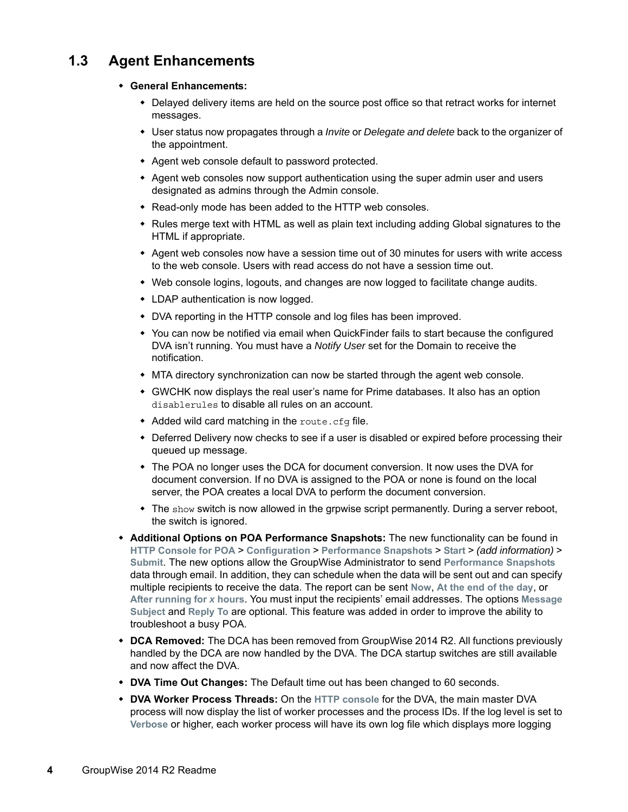### <span id="page-3-0"></span>**1.3 Agent Enhancements**

#### **General Enhancements:**

- Delayed delivery items are held on the source post office so that retract works for internet messages.
- User status now propagates through a *Invite* or *Delegate and delete* back to the organizer of the appointment.
- Agent web console default to password protected.
- Agent web consoles now support authentication using the super admin user and users designated as admins through the Admin console.
- Read-only mode has been added to the HTTP web consoles.
- Rules merge text with HTML as well as plain text including adding Global signatures to the HTML if appropriate.
- Agent web consoles now have a session time out of 30 minutes for users with write access to the web console. Users with read access do not have a session time out.
- Web console logins, logouts, and changes are now logged to facilitate change audits.
- LDAP authentication is now logged.
- DVA reporting in the HTTP console and log files has been improved.
- You can now be notified via email when QuickFinder fails to start because the configured DVA isn't running. You must have a *Notify User* set for the Domain to receive the notification.
- MTA directory synchronization can now be started through the agent web console.
- GWCHK now displays the real user's name for Prime databases. It also has an option disablerules to disable all rules on an account.
- Added wild card matching in the route.cfg file.
- Deferred Delivery now checks to see if a user is disabled or expired before processing their queued up message.
- The POA no longer uses the DCA for document conversion. It now uses the DVA for document conversion. If no DVA is assigned to the POA or none is found on the local server, the POA creates a local DVA to perform the document conversion.
- $\bullet$  The show switch is now allowed in the grpwise script permanently. During a server reboot, the switch is ignored.
- **Additional Options on POA Performance Snapshots:** The new functionality can be found in **HTTP Console for POA** > **Configuration** > **Performance Snapshots** > **Start** > *(add information)* > **Submit**. The new options allow the GroupWise Administrator to send **Performance Snapshots** data through email. In addition, they can schedule when the data will be sent out and can specify multiple recipients to receive the data. The report can be sent **Now**, **At the end of the day**, or **After running for** *x* **hours**. You must input the recipients' email addresses. The options **Message Subject** and **Reply To** are optional. This feature was added in order to improve the ability to troubleshoot a busy POA.
- **DCA Removed:** The DCA has been removed from GroupWise 2014 R2. All functions previously handled by the DCA are now handled by the DVA. The DCA startup switches are still available and now affect the DVA.
- **DVA Time Out Changes:** The Default time out has been changed to 60 seconds.
- **DVA Worker Process Threads:** On the **HTTP console** for the DVA, the main master DVA process will now display the list of worker processes and the process IDs. If the log level is set to **Verbose** or higher, each worker process will have its own log file which displays more logging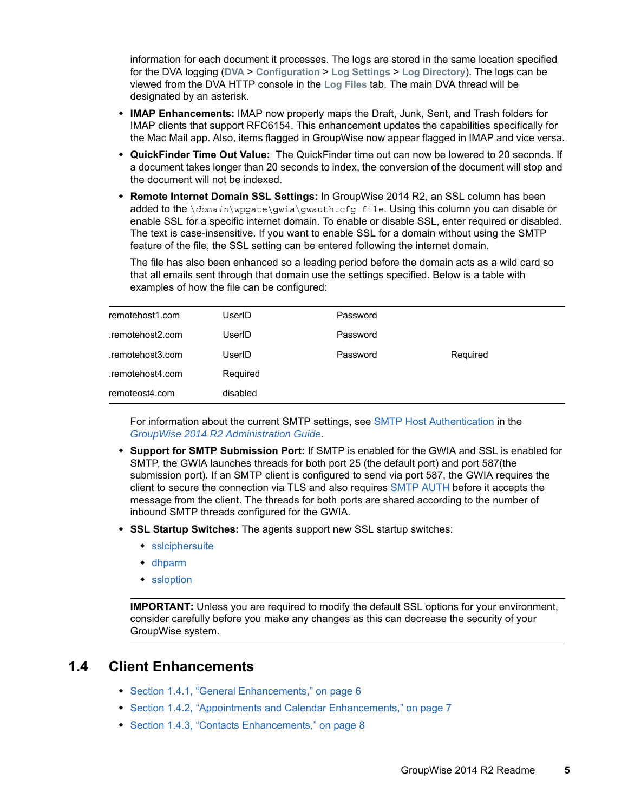information for each document it processes. The logs are stored in the same location specified for the DVA logging (**DVA** > **Configuration** > **Log Settings** > **Log Directory**). The logs can be viewed from the DVA HTTP console in the **Log Files** tab. The main DVA thread will be designated by an asterisk.

- **IMAP Enhancements:** IMAP now properly maps the Draft, Junk, Sent, and Trash folders for IMAP clients that support RFC6154. This enhancement updates the capabilities specifically for the Mac Mail app. Also, items flagged in GroupWise now appear flagged in IMAP and vice versa.
- **QuickFinder Time Out Value:** The QuickFinder time out can now be lowered to 20 seconds. If a document takes longer than 20 seconds to index, the conversion of the document will stop and the document will not be indexed.
- **Remote Internet Domain SSL Settings:** In GroupWise 2014 R2, an SSL column has been added to the \*domain*\wpgate\gwia\gwauth.cfg file. Using this column you can disable or enable SSL for a specific internet domain. To enable or disable SSL, enter required or disabled. The text is case-insensitive. If you want to enable SSL for a domain without using the SMTP feature of the file, the SSL setting can be entered following the internet domain.

The file has also been enhanced so a leading period before the domain acts as a wild card so that all emails sent through that domain use the settings specified. Below is a table with examples of how the file can be configured:

| remotehost1.com  | UserID   | Password |          |
|------------------|----------|----------|----------|
| .remotehost2.com | UserID   | Password |          |
| .remotehost3.com | UserID   | Password | Required |
| .remotehost4.com | Required |          |          |
| remoteost4.com   | disabled |          |          |

For information about the current SMTP settings, see [SMTP Host Authentication](https://www.novell.com/documentation/groupwise2014r2/pdfdoc/gw2014_guide_admin/gw2014_guide_admin.pdf#admgwiainetuserjunkhostauth) in the *[GroupWise 2014 R2 Administration Guide](https://www.novell.com/documentation/groupwise2014r2/pdfdoc/gw2014_guide_admin/gw2014_guide_admin.pdf#adminfront)*.

- **Support for SMTP Submission Port:** If SMTP is enabled for the GWIA and SSL is enabled for SMTP, the GWIA launches threads for both port 25 (the default port) and port 587(the submission port). If an SMTP client is configured to send via port 587, the GWIA requires the client to secure the connection via TLS and also requires [SMTP AUTH](https://www.novell.com/documentation/groupwise2014r2/pdfdoc/gw2014_guide_admin/gw2014_guide_admin.pdf#admgwiaswitchessmtphostauth) before it accepts the message from the client. The threads for both ports are shared according to the number of inbound SMTP threads configured for the GWIA.
- **SSL Startup Switches:** The agents support new SSL startup switches:
	- [sslciphersuite](https://www.novell.com/documentation/groupwise2014r2/pdfdoc/gw2014_guide_admin/gw2014_guide_admin.pdf#b1fuqjj7)
	- [dhparm](https://www.novell.com/documentation/groupwise2014r2/pdfdoc/gw2014_guide_admin/gw2014_guide_admin.pdf#b1icabxg)
	- [ssloption](https://www.novell.com/documentation/groupwise2014r2/pdfdoc/gw2014_guide_admin/gw2014_guide_admin.pdf#b1icaeeh)

**IMPORTANT:** Unless you are required to modify the default SSL options for your environment, consider carefully before you make any changes as this can decrease the security of your GroupWise system.

### <span id="page-4-0"></span>**1.4 Client Enhancements**

- [Section 1.4.1, "General Enhancements," on page 6](#page-5-0)
- [Section 1.4.2, "Appointments and Calendar Enhancements," on page](#page-6-0) 7
- [Section 1.4.3, "Contacts Enhancements," on page 8](#page-7-0)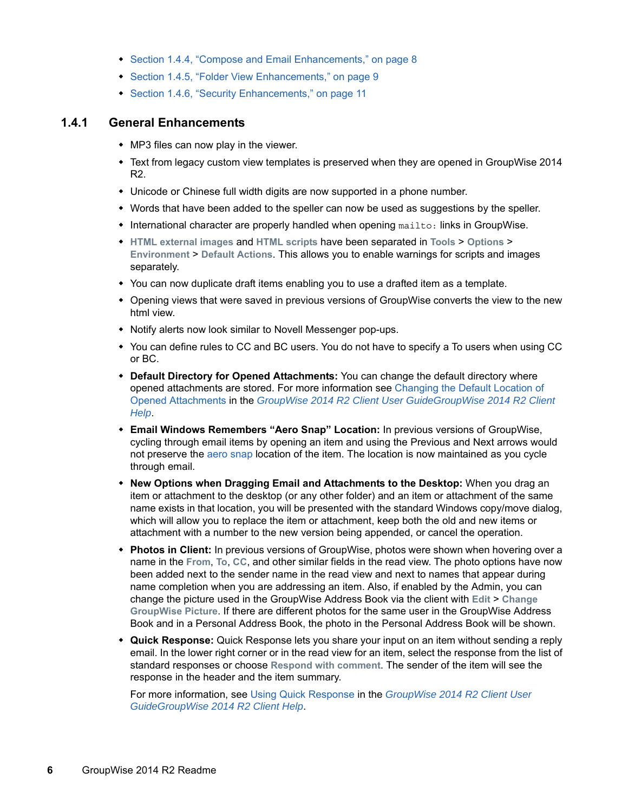- [Section 1.4.4, "Compose and Email Enhancements," on page 8](#page-7-1)
- [Section 1.4.5, "Folder View Enhancements," on page 9](#page-8-0)
- [Section 1.4.6, "Security Enhancements," on page 11](#page-10-1)

#### <span id="page-5-0"></span>**1.4.1 General Enhancements**

- MP3 files can now play in the viewer.
- Text from legacy custom view templates is preserved when they are opened in GroupWise 2014 R2.
- Unicode or Chinese full width digits are now supported in a phone number.
- Words that have been added to the speller can now be used as suggestions by the speller.
- International character are properly handled when opening mailto: links in GroupWise.
- **HTML external images** and **HTML scripts** have been separated in **Tools** > **Options** > **Environment** > **Default Actions**. This allows you to enable warnings for scripts and images separately.
- You can now duplicate draft items enabling you to use a drafted item as a template.
- Opening views that were saved in previous versions of GroupWise converts the view to the new html view.
- Notify alerts now look similar to Novell Messenger pop-ups.
- You can define rules to CC and BC users. You do not have to specify a To users when using CC or BC.
- **Default Directory for Opened Attachments:** You can change the default directory where opened attachments are stored. For more information see [Changing the Default Location of](https://www.novell.com/documentation/groupwise2014r2/pdfdoc/gw2014_guide_userwin/gw2014_guide_userwin.pdf#b1hq52xt)  Opened Attachments in the *[GroupWise 2014 R2 Client User GuideGroupWise 2014 R2 Client](https://www.novell.com/documentation/groupwise2014r2/pdfdoc/gw2014_guide_userwin/gw2014_guide_userwin.pdf#frontpage)  Help*.
- **Email Windows Remembers "Aero Snap" Location:** In previous versions of GroupWise, cycling through email items by opening an item and using the Previous and Next arrows would not preserve the [aero snap](http://windows.microsoft.com/en-us/windows7/products/features/snap) location of the item. The location is now maintained as you cycle through email.
- **New Options when Dragging Email and Attachments to the Desktop:** When you drag an item or attachment to the desktop (or any other folder) and an item or attachment of the same name exists in that location, you will be presented with the standard Windows copy/move dialog, which will allow you to replace the item or attachment, keep both the old and new items or attachment with a number to the new version being appended, or cancel the operation.
- **Photos in Client:** In previous versions of GroupWise, photos were shown when hovering over a name in the **From**, **To**, **CC**, and other similar fields in the read view. The photo options have now been added next to the sender name in the read view and next to names that appear during name completion when you are addressing an item. Also, if enabled by the Admin, you can change the picture used in the GroupWise Address Book via the client with **Edit** > **Change GroupWise Picture**. If there are different photos for the same user in the GroupWise Address Book and in a Personal Address Book, the photo in the Personal Address Book will be shown.
- **Quick Response:** Quick Response lets you share your input on an item without sending a reply email. In the lower right corner or in the read view for an item, select the response from the list of standard responses or choose **Respond with comment**. The sender of the item will see the response in the header and the item summary.

For more information, see [Using Quick Response](https://www.novell.com/documentation/groupwise2014r2/pdfdoc/gw2014_guide_userwin/gw2014_guide_userwin.pdf#b1eurp7q) in the *[GroupWise 2014 R2 Client User](https://www.novell.com/documentation/groupwise2014r2/pdfdoc/gw2014_guide_userwin/gw2014_guide_userwin.pdf#frontpage)  GuideGroupWise 2014 R2 Client Help*.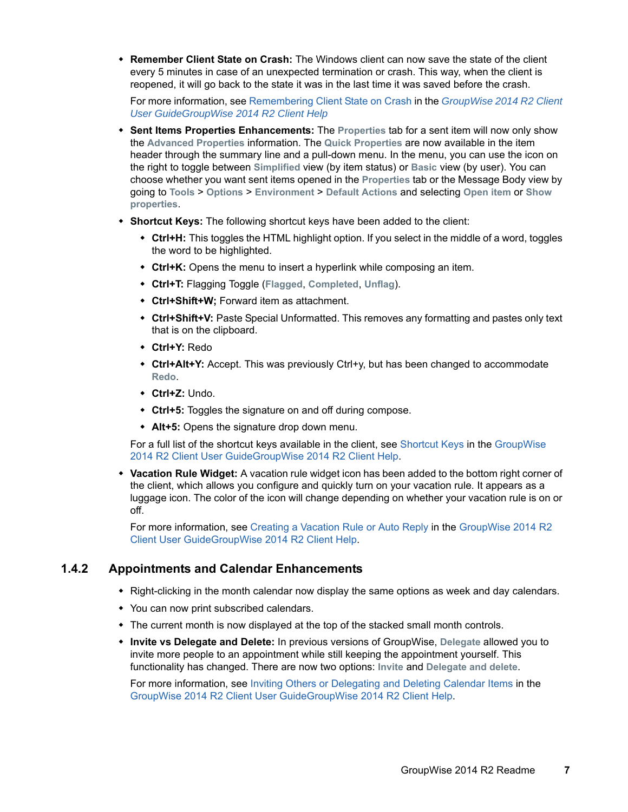**Remember Client State on Crash:** The Windows client can now save the state of the client every 5 minutes in case of an unexpected termination or crash. This way, when the client is reopened, it will go back to the state it was in the last time it was saved before the crash.

For more information, see [Remembering Client State on Crash](https://www.novell.com/documentation/groupwise2014r2/pdfdoc/gw2014_guide_userwin/gw2014_guide_userwin.pdf#b1hnz6u2) in the *[GroupWise 2014 R2 Client](https://www.novell.com/documentation/groupwise2014r2/pdfdoc/gw2014_guide_userwin/gw2014_guide_userwin.pdf#frontpage)  User GuideGroupWise 2014 R2 Client Help*

- **Sent Items Properties Enhancements:** The **Properties** tab for a sent item will now only show the **Advanced Properties** information. The **Quick Properties** are now available in the item header through the summary line and a pull-down menu. In the menu, you can use the icon on the right to toggle between **Simplified** view (by item status) or **Basic** view (by user). You can choose whether you want sent items opened in the **Properties** tab or the Message Body view by going to **Tools** > **Options** > **Environment** > **Default Actions** and selecting **Open item** or **Show properties**.
- **Shortcut Keys:** The following shortcut keys have been added to the client:
	- **Ctrl+H:** This toggles the HTML highlight option. If you select in the middle of a word, toggles the word to be highlighted.
	- **Ctrl+K:** Opens the menu to insert a hyperlink while composing an item.
	- **Ctrl+T:** Flagging Toggle (**Flagged**, **Completed**, **Unflag**).
	- **Ctrl+Shift+W;** Forward item as attachment.
	- **Ctrl+Shift+V:** Paste Special Unformatted. This removes any formatting and pastes only text that is on the clipboard.
	- **Ctrl+Y:** Redo
	- **Ctrl+Alt+Y:** Accept. This was previously Ctrl+y, but has been changed to accommodate **Redo**.
	- **Ctrl+Z:** Undo.
	- **Ctrl+5:** Toggles the signature on and off during compose.
	- **Alt+5:** Opens the signature drop down menu.

For a full list of the shortcut keys available in the client, see [Shortcut Keys](https://www.novell.com/documentation/groupwise2014r2/pdfdoc/gw2014_guide_userwin/gw2014_guide_userwin.pdf#shortcutkeys) in the [GroupWise](https://www.novell.com/documentation/groupwise2014r2/pdfdoc/gw2014_guide_userwin/gw2014_guide_userwin.pdf#frontpage)  2014 R2 Client User GuideGroupWise 2014 R2 Client Help.

 **Vacation Rule Widget:** A vacation rule widget icon has been added to the bottom right corner of the client, which allows you configure and quickly turn on your vacation rule. It appears as a luggage icon. The color of the icon will change depending on whether your vacation rule is on or off.

For more information, see [Creating a Vacation Rule or Auto Reply](https://www.novell.com/documentation/groupwise2014r2/pdfdoc/gw2014_guide_userwin/gw2014_guide_userwin.pdf#rulescreatingvacation) in the [GroupWise 2014 R2](https://www.novell.com/documentation/groupwise2014r2/pdfdoc/gw2014_guide_userwin/gw2014_guide_userwin.pdf#frontpage)  Client User GuideGroupWise 2014 R2 Client Help.

#### <span id="page-6-0"></span>**1.4.2 Appointments and Calendar Enhancements**

- Right-clicking in the month calendar now display the same options as week and day calendars.
- You can now print subscribed calendars.
- The current month is now displayed at the top of the stacked small month controls.
- **Invite vs Delegate and Delete:** In previous versions of GroupWise, **Delegate** allowed you to invite more people to an appointment while still keeping the appointment yourself. This functionality has changed. There are now two options: **Invite** and **Delegate and delete**.

For more information, see [Inviting Others or Delegating and Deleting Calendar Items](https://www.novell.com/documentation/groupwise2014r2/pdfdoc/gw2014_guide_userwin/gw2014_guide_userwin.pdf#calendarreceivingitemsdelegate) in the [GroupWise 2014 R2 Client User GuideGroupWise 2014 R2 Client Help](https://www.novell.com/documentation/groupwise2014r2/pdfdoc/gw2014_guide_userwin/gw2014_guide_userwin.pdf#frontpage).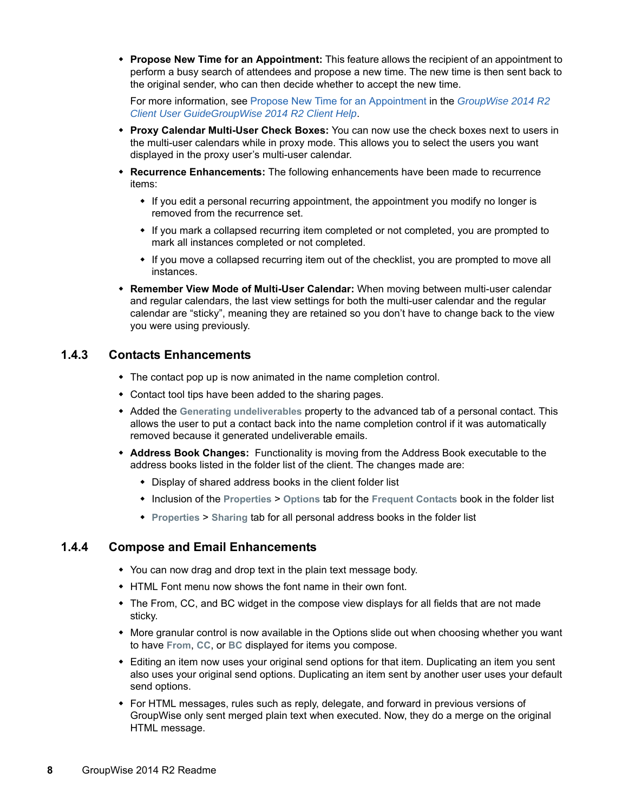**Propose New Time for an Appointment:** This feature allows the recipient of an appointment to perform a busy search of attendees and propose a new time. The new time is then sent back to the original sender, who can then decide whether to accept the new time.

For more information, see [Propose New Time for an Appointment](https://www.novell.com/documentation/groupwise2014r2/pdfdoc/gw2014_guide_userwin/gw2014_guide_userwin.pdf#b1etpf7x) in the *[GroupWise 2014 R2](https://www.novell.com/documentation/groupwise2014r2/pdfdoc/gw2014_guide_userwin/gw2014_guide_userwin.pdf#frontpage)  Client User GuideGroupWise 2014 R2 Client Help*.

- **Proxy Calendar Multi-User Check Boxes:** You can now use the check boxes next to users in the multi-user calendars while in proxy mode. This allows you to select the users you want displayed in the proxy user's multi-user calendar.
- **Recurrence Enhancements:** The following enhancements have been made to recurrence items:
	- If you edit a personal recurring appointment, the appointment you modify no longer is removed from the recurrence set.
	- If you mark a collapsed recurring item completed or not completed, you are prompted to mark all instances completed or not completed.
	- If you move a collapsed recurring item out of the checklist, you are prompted to move all instances.
- **Remember View Mode of Multi-User Calendar:** When moving between multi-user calendar and regular calendars, the last view settings for both the multi-user calendar and the regular calendar are "sticky", meaning they are retained so you don't have to change back to the view you were using previously.

#### <span id="page-7-0"></span>**1.4.3 Contacts Enhancements**

- The contact pop up is now animated in the name completion control.
- Contact tool tips have been added to the sharing pages.
- Added the **Generating undeliverables** property to the advanced tab of a personal contact. This allows the user to put a contact back into the name completion control if it was automatically removed because it generated undeliverable emails.
- **Address Book Changes:** Functionality is moving from the Address Book executable to the address books listed in the folder list of the client. The changes made are:
	- Display of shared address books in the client folder list
	- Inclusion of the **Properties** > **Options** tab for the **Frequent Contacts** book in the folder list
	- **Properties** > **Sharing** tab for all personal address books in the folder list

#### <span id="page-7-1"></span>**1.4.4 Compose and Email Enhancements**

- You can now drag and drop text in the plain text message body.
- HTML Font menu now shows the font name in their own font.
- The From, CC, and BC widget in the compose view displays for all fields that are not made sticky.
- More granular control is now available in the Options slide out when choosing whether you want to have **From**, **CC**, or **BC** displayed for items you compose.
- Editing an item now uses your original send options for that item. Duplicating an item you sent also uses your original send options. Duplicating an item sent by another user uses your default send options.
- For HTML messages, rules such as reply, delegate, and forward in previous versions of GroupWise only sent merged plain text when executed. Now, they do a merge on the original HTML message.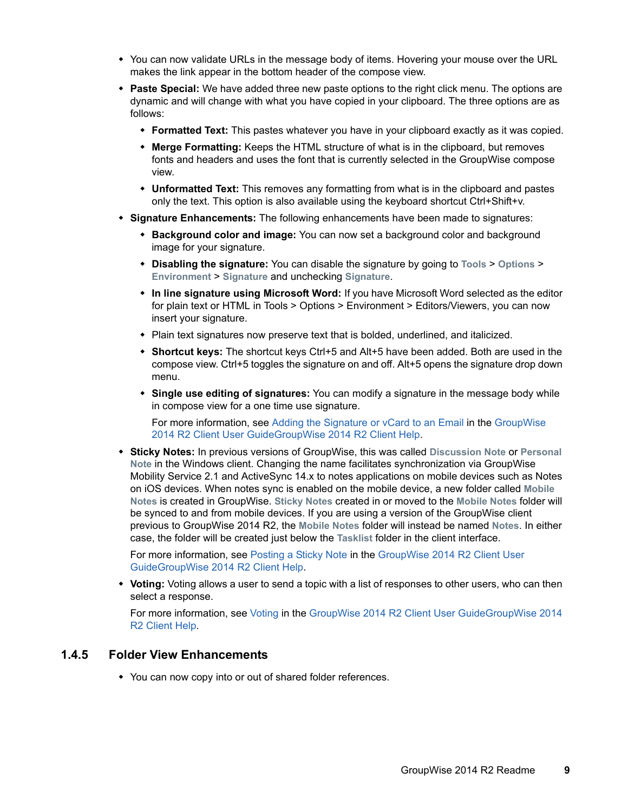- You can now validate URLs in the message body of items. Hovering your mouse over the URL makes the link appear in the bottom header of the compose view.
- **Paste Special:** We have added three new paste options to the right click menu. The options are dynamic and will change with what you have copied in your clipboard. The three options are as follows:
	- **Formatted Text:** This pastes whatever you have in your clipboard exactly as it was copied.
	- **Merge Formatting:** Keeps the HTML structure of what is in the clipboard, but removes fonts and headers and uses the font that is currently selected in the GroupWise compose view.
	- **Unformatted Text:** This removes any formatting from what is in the clipboard and pastes only the text. This option is also available using the keyboard shortcut Ctrl+Shift+v.
- **Signature Enhancements:** The following enhancements have been made to signatures:
	- **Background color and image:** You can now set a background color and background image for your signature.
	- **Disabling the signature:** You can disable the signature by going to **Tools** > **Options** > **Environment** > **Signature** and unchecking **Signature**.
	- **In line signature using Microsoft Word:** If you have Microsoft Word selected as the editor for plain text or HTML in Tools > Options > Environment > Editors/Viewers, you can now insert your signature.
	- Plain text signatures now preserve text that is bolded, underlined, and italicized.
	- **Shortcut keys:** The shortcut keys Ctrl+5 and Alt+5 have been added. Both are used in the compose view. Ctrl+5 toggles the signature on and off. Alt+5 opens the signature drop down menu.
	- **Single use editing of signatures:** You can modify a signature in the message body while in compose view for a one time use signature.

For more information, see [Adding the Signature or vCard to an Email](https://www.novell.com/documentation/groupwise2014r2/pdfdoc/gw2014_guide_userwin/gw2014_guide_userwin.pdf#Aan99dr) in the [GroupWise](https://www.novell.com/documentation/groupwise2014r2/pdfdoc/gw2014_guide_userwin/gw2014_guide_userwin.pdf#frontpage)  2014 R2 Client User GuideGroupWise 2014 R2 Client Help.

 **Sticky Notes:** In previous versions of GroupWise, this was called **Discussion Note** or **Personal Note** in the Windows client. Changing the name facilitates synchronization via GroupWise Mobility Service 2.1 and ActiveSync 14.x to notes applications on mobile devices such as Notes on iOS devices. When notes sync is enabled on the mobile device, a new folder called **Mobile Notes** is created in GroupWise. **Sticky Notes** created in or moved to the **Mobile Notes** folder will be synced to and from mobile devices. If you are using a version of the GroupWise client previous to GroupWise 2014 R2, the **Mobile Notes** folder will instead be named **Notes**. In either case, the folder will be created just below the **Tasklist** folder in the client interface.

For more information, see [Posting a Sticky Note](https://www.novell.com/documentation/groupwise2014r2/pdfdoc/gw2014_guide_userwin/gw2014_guide_userwin.pdf#emailsendingdiscussionnote) in the [GroupWise 2014 R2 Client User](https://www.novell.com/documentation/groupwise2014r2/pdfdoc/gw2014_guide_userwin/gw2014_guide_userwin.pdf#frontpage)  GuideGroupWise 2014 R2 Client Help.

 **Voting:** Voting allows a user to send a topic with a list of responses to other users, who can then select a response.

For more information, see [Voting](https://www.novell.com/documentation/groupwise2014r2/pdfdoc/gw2014_guide_userwin/gw2014_guide_userwin.pdf#b1eu8yt3) in the [GroupWise 2014 R2 Client User GuideGroupWise 2014](https://www.novell.com/documentation/groupwise2014r2/pdfdoc/gw2014_guide_userwin/gw2014_guide_userwin.pdf#frontpage)  R2 Client Help.

#### <span id="page-8-0"></span>**1.4.5 Folder View Enhancements**

You can now copy into or out of shared folder references.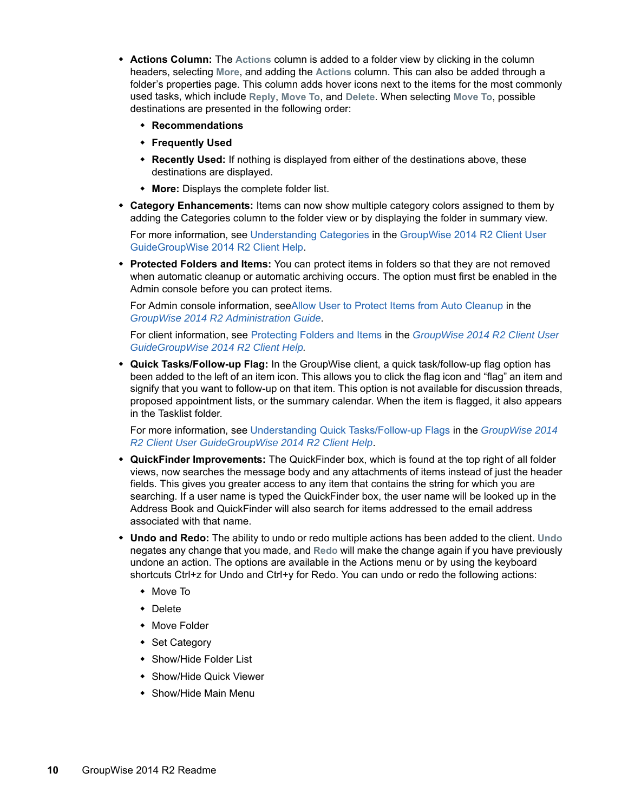- **Actions Column:** The **Actions** column is added to a folder view by clicking in the column headers, selecting **More**, and adding the **Actions** column. This can also be added through a folder's properties page. This column adds hover icons next to the items for the most commonly used tasks, which include **Reply**, **Move To**, and **Delete**. When selecting **Move To**, possible destinations are presented in the following order:
	- **Recommendations**
	- **Frequently Used**
	- **Recently Used:** If nothing is displayed from either of the destinations above, these destinations are displayed.
	- **More:** Displays the complete folder list.
- **Category Enhancements:** Items can now show multiple category colors assigned to them by adding the Categories column to the folder view or by displaying the folder in summary view.

For more information, see [Understanding Categories](https://www.novell.com/documentation/groupwise2014r2/pdfdoc/gw2014_guide_userwin/gw2014_guide_userwin.pdf#getorgcategoriesunderstanding) in the [GroupWise 2014 R2 Client User](https://www.novell.com/documentation/groupwise2014r2/pdfdoc/gw2014_guide_userwin/gw2014_guide_userwin.pdf#frontpage)  GuideGroupWise 2014 R2 Client Help.

 **Protected Folders and Items:** You can protect items in folders so that they are not removed when automatic cleanup or automatic archiving occurs. The option must first be enabled in the Admin console before you can protect items.

For Admin console information, se[eAllow User to Protect Items from Auto Cleanup](https://www.novell.com/documentation/groupwise2014r2/pdfdoc/gw2014_guide_admin/gw2014_guide_admin.pdf#b1hq4pra) in the *[GroupWise 2014 R2 Administration Guide](https://www.novell.com/documentation/groupwise2014r2/pdfdoc/gw2014_guide_admin/gw2014_guide_admin.pdf#adminfront)*.

For client information, see [Protecting Folders and Items](https://www.novell.com/documentation/groupwise2014r2/pdfdoc/gw2014_guide_userwin/gw2014_guide_userwin.pdf#b1etqka7) in the *[GroupWise 2014 R2 Client User](https://www.novell.com/documentation/groupwise2014r2/pdfdoc/gw2014_guide_userwin/gw2014_guide_userwin.pdf#frontpage)  GuideGroupWise 2014 R2 Client Help.*

 **Quick Tasks/Follow-up Flag:** In the GroupWise client, a quick task/follow-up flag option has been added to the left of an item icon. This allows you to click the flag icon and "flag" an item and signify that you want to follow-up on that item. This option is not available for discussion threads, proposed appointment lists, or the summary calendar. When the item is flagged, it also appears in the Tasklist folder.

For more information, see [Understanding Quick Tasks/Follow-up Flags](https://www.novell.com/documentation/groupwise2014r2/pdfdoc/gw2014_guide_userwin/gw2014_guide_userwin.pdf#b1erpnk1) in the *[GroupWise 2014](https://www.novell.com/documentation/groupwise2014r2/pdfdoc/gw2014_guide_userwin/gw2014_guide_userwin.pdf#frontpage)  R2 Client User GuideGroupWise 2014 R2 Client Help*.

- **QuickFinder Improvements:** The QuickFinder box, which is found at the top right of all folder views, now searches the message body and any attachments of items instead of just the header fields. This gives you greater access to any item that contains the string for which you are searching. If a user name is typed the QuickFinder box, the user name will be looked up in the Address Book and QuickFinder will also search for items addressed to the email address associated with that name.
- **Undo and Redo:** The ability to undo or redo multiple actions has been added to the client. **Undo** negates any change that you made, and **Redo** will make the change again if you have previously undone an action. The options are available in the Actions menu or by using the keyboard shortcuts Ctrl+z for Undo and Ctrl+y for Redo. You can undo or redo the following actions:
	- Move To
	- Delete
	- Move Folder
	- ◆ Set Category
	- Show/Hide Folder List
	- Show/Hide Quick Viewer
	- Show/Hide Main Menu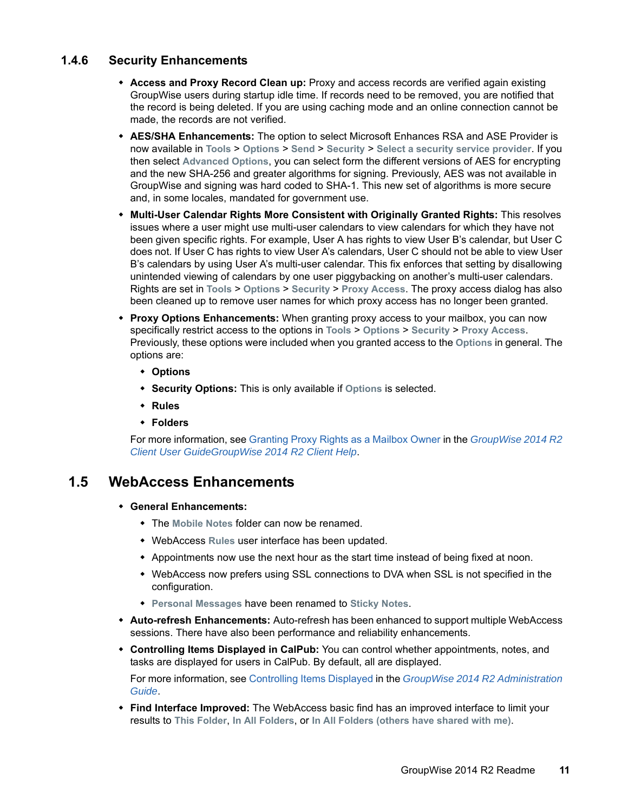#### <span id="page-10-1"></span>**1.4.6 Security Enhancements**

- **Access and Proxy Record Clean up:** Proxy and access records are verified again existing GroupWise users during startup idle time. If records need to be removed, you are notified that the record is being deleted. If you are using caching mode and an online connection cannot be made, the records are not verified.
- **AES/SHA Enhancements:** The option to select Microsoft Enhances RSA and ASE Provider is now available in **Tools** > **Options** > **Send** > **Security** > **Select a security service provider**. If you then select **Advanced Options**, you can select form the different versions of AES for encrypting and the new SHA-256 and greater algorithms for signing. Previously, AES was not available in GroupWise and signing was hard coded to SHA-1. This new set of algorithms is more secure and, in some locales, mandated for government use.
- **Multi-User Calendar Rights More Consistent with Originally Granted Rights:** This resolves issues where a user might use multi-user calendars to view calendars for which they have not been given specific rights. For example, User A has rights to view User B's calendar, but User C does not. If User C has rights to view User A's calendars, User C should not be able to view User B's calendars by using User A's multi-user calendar. This fix enforces that setting by disallowing unintended viewing of calendars by one user piggybacking on another's multi-user calendars. Rights are set in **Tools** > **Options** > **Security** > **Proxy Access**. The proxy access dialog has also been cleaned up to remove user names for which proxy access has no longer been granted.
- **Proxy Options Enhancements:** When granting proxy access to your mailbox, you can now specifically restrict access to the options in **Tools** > **Options** > **Security** > **Proxy Access**. Previously, these options were included when you granted access to the **Options** in general. The options are:
	- **Options**
	- **Security Options:** This is only available if **Options** is selected.
	- **Rules**
	- **Folders**

For more information, see [Granting Proxy Rights as a Mailbox Owner](https://www.novell.com/documentation/groupwise2014r2/pdfdoc/gw2014_guide_userwin/gw2014_guide_userwin.pdf#proxygrantingrights) in the *[GroupWise 2014 R2](https://www.novell.com/documentation/groupwise2014r2/pdfdoc/gw2014_guide_userwin/gw2014_guide_userwin.pdf#frontpage)  Client User GuideGroupWise 2014 R2 Client Help*.

### <span id="page-10-0"></span>**1.5 WebAccess Enhancements**

- **General Enhancements:** 
	- The **Mobile Notes** folder can now be renamed.
	- WebAccess **Rules** user interface has been updated.
	- Appointments now use the next hour as the start time instead of being fixed at noon.
	- WebAccess now prefers using SSL connections to DVA when SSL is not specified in the configuration.
	- **Personal Messages** have been renamed to **Sticky Notes**.
- **Auto-refresh Enhancements:** Auto-refresh has been enhanced to support multiple WebAccess sessions. There have also been performance and reliability enhancements.
- **Controlling Items Displayed in CalPub:** You can control whether appointments, notes, and tasks are displayed for users in CalPub. By default, all are displayed.

For more information, see [Controlling Items Displayed](https://www.novell.com/documentation/groupwise2014r2/pdfdoc/gw2014_guide_admin/gw2014_guide_admin.pdf#b1hrmx49) in the *[GroupWise 2014 R2 Administration](https://www.novell.com/documentation/groupwise2014r2/pdfdoc/gw2014_guide_admin/gw2014_guide_admin.pdf#adminfront)  Guide*.

 **Find Interface Improved:** The WebAccess basic find has an improved interface to limit your results to **This Folder**, **In All Folders**, or **In All Folders (others have shared with me)**.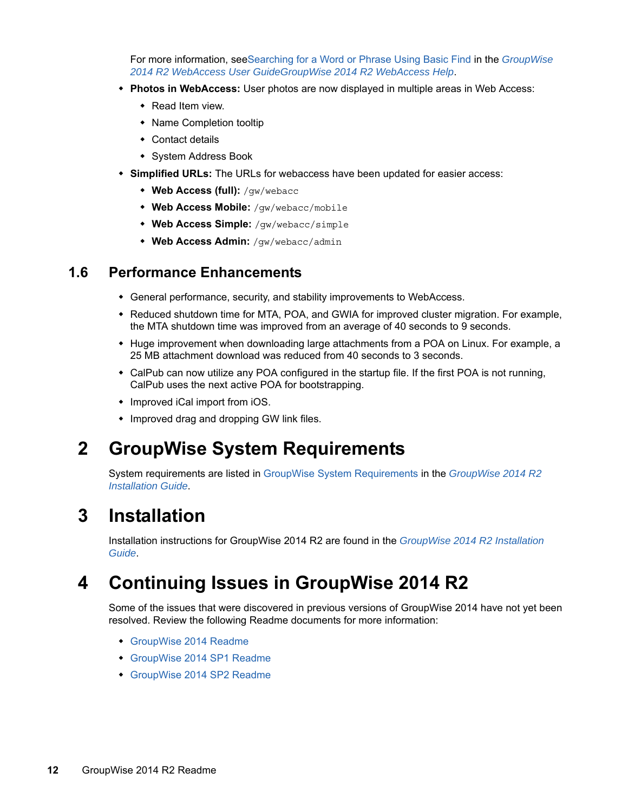For more information, se[eSearching for a Word or Phrase Using Basic Find](https://www.novell.com/documentation/groupwise2014r2/pdfdoc/gw2014_guide_userweb/gw2014_guide_userweb.pdf#searchingwithquickfind) in the *GroupWise 2014 R2 WebAccess User Guid[eG](https://www.novell.com/documentation/groupwise2014r2/pdfdoc/gw2014_guide_userweb/gw2014_guide_userweb.pdf#frontpage)roupWise 2014 R2 WebAccess Help*.

- **Photos in WebAccess:** User photos are now displayed in multiple areas in Web Access:
	- Read Item view.
	- Name Completion tooltip
	- Contact details
	- System Address Book
- **Simplified URLs:** The URLs for webaccess have been updated for easier access:
	- **Web Access (full):** /gw/webacc
	- **Web Access Mobile:** /gw/webacc/mobile
	- **Web Access Simple:** /gw/webacc/simple
	- **Web Access Admin:** /gw/webacc/admin

### <span id="page-11-3"></span>**1.6 Performance Enhancements**

- General performance, security, and stability improvements to WebAccess.
- Reduced shutdown time for MTA, POA, and GWIA for improved cluster migration. For example, the MTA shutdown time was improved from an average of 40 seconds to 9 seconds.
- Huge improvement when downloading large attachments from a POA on Linux. For example, a 25 MB attachment download was reduced from 40 seconds to 3 seconds.
- CalPub can now utilize any POA configured in the startup file. If the first POA is not running, CalPub uses the next active POA for bootstrapping.
- Improved iCal import from iOS.
- Improved drag and dropping GW link files.

# <span id="page-11-0"></span>**2 GroupWise System Requirements**

System requirements are listed in [GroupWise System Requirements](https://www.novell.com/documentation/groupwise2014r2/pdfdoc/gw2014_guide_install/gw2014_guide_install.pdf#instrequirements) in the *[GroupWise 2014 R2](https://www.novell.com/documentation/groupwise2014r2/pdfdoc/gw2014_guide_install/gw2014_guide_install.pdf#instfront)  Installation Guide*.

# <span id="page-11-1"></span>**3 Installation**

Installation instructions for GroupWise 2014 R2 are found in the *[GroupWise 2014 R2 Installation](https://www.novell.com/documentation/groupwise2014r2/pdfdoc/gw2014_guide_install/gw2014_guide_install.pdf#instfront)  Guide*.

# <span id="page-11-2"></span>**4 Continuing Issues in GroupWise 2014 R2**

Some of the issues that were discovered in previous versions of GroupWise 2014 have not yet been resolved. Review the following Readme documents for more information:

- [GroupWise 2014 Readme](https://www.novell.com/documentation/groupwise2014r2/gw2014_readme/data/gw2014_readme.html)
- [GroupWise 2014 SP1 Readme](https://www.novell.com/documentation/groupwise2014r2/gw2014_readme_sp1/data/gw2014_readme_sp1.html)
- [GroupWise 2014 SP2 Readme](https://www.novell.com/documentation/groupwise2014r2/gw2014_readme_sp2/data/gw2014_readme_sp2.html)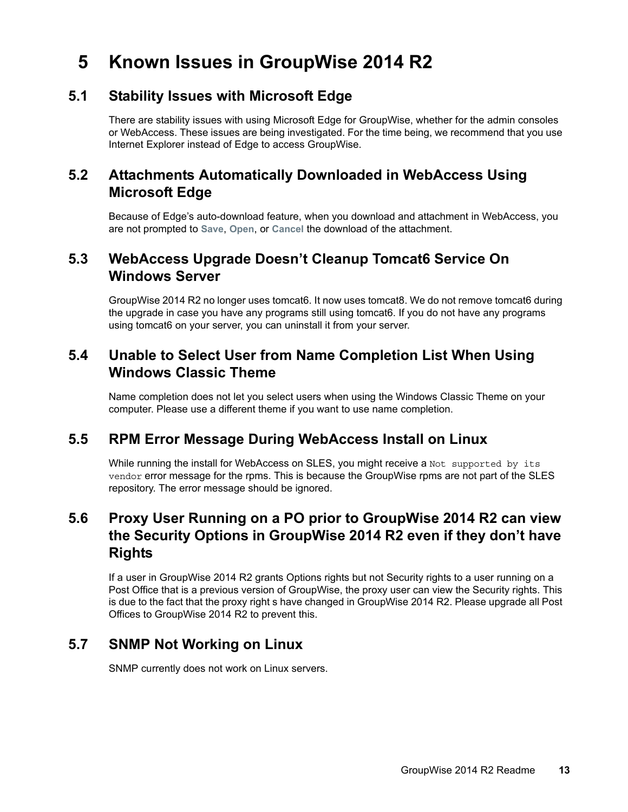# <span id="page-12-0"></span>**5 Known Issues in GroupWise 2014 R2**

### **5.1 Stability Issues with Microsoft Edge**

There are stability issues with using Microsoft Edge for GroupWise, whether for the admin consoles or WebAccess. These issues are being investigated. For the time being, we recommend that you use Internet Explorer instead of Edge to access GroupWise.

## **5.2 Attachments Automatically Downloaded in WebAccess Using Microsoft Edge**

Because of Edge's auto-download feature, when you download and attachment in WebAccess, you are not prompted to **Save**, **Open**, or **Cancel** the download of the attachment.

## **5.3 WebAccess Upgrade Doesn't Cleanup Tomcat6 Service On Windows Server**

GroupWise 2014 R2 no longer uses tomcat6. It now uses tomcat8. We do not remove tomcat6 during the upgrade in case you have any programs still using tomcat6. If you do not have any programs using tomcat6 on your server, you can uninstall it from your server.

## **5.4 Unable to Select User from Name Completion List When Using Windows Classic Theme**

Name completion does not let you select users when using the Windows Classic Theme on your computer. Please use a different theme if you want to use name completion.

### **5.5 RPM Error Message During WebAccess Install on Linux**

While running the install for WebAccess on SLES, you might receive a Not supported by its vendor error message for the rpms. This is because the GroupWise rpms are not part of the SLES repository. The error message should be ignored.

## **5.6 Proxy User Running on a PO prior to GroupWise 2014 R2 can view the Security Options in GroupWise 2014 R2 even if they don't have Rights**

If a user in GroupWise 2014 R2 grants Options rights but not Security rights to a user running on a Post Office that is a previous version of GroupWise, the proxy user can view the Security rights. This is due to the fact that the proxy right s have changed in GroupWise 2014 R2. Please upgrade all Post Offices to GroupWise 2014 R2 to prevent this.

## **5.7 SNMP Not Working on Linux**

SNMP currently does not work on Linux servers.